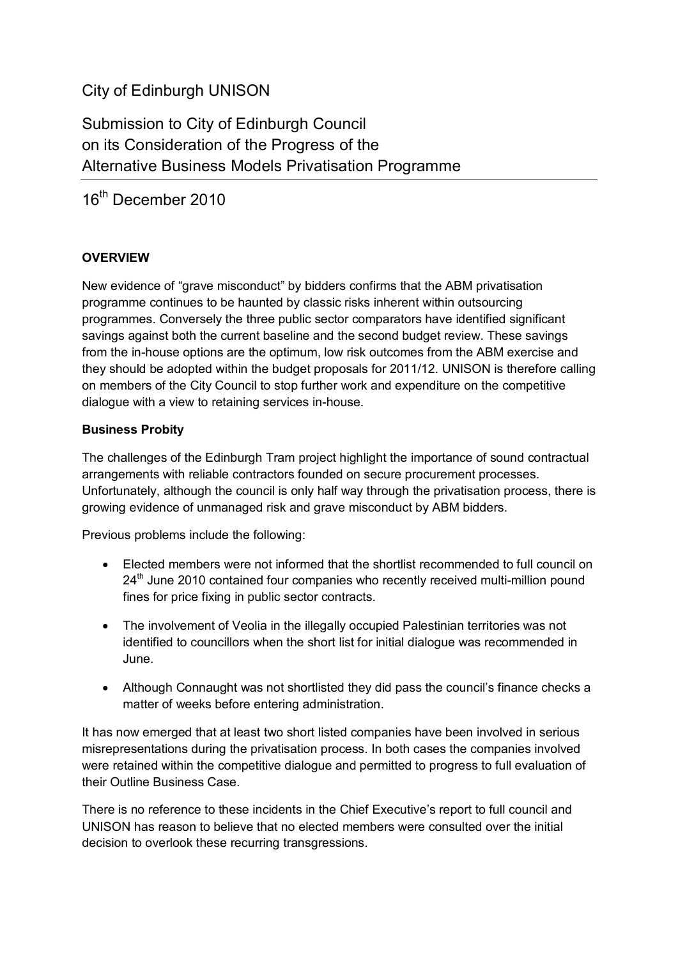# City of Edinburgh UNISON

Submission to City of Edinburgh Council on its Consideration of the Progress of the Alternative Business Models Privatisation Programme

16<sup>th</sup> December 2010

# **OVERVIEW**

New evidence of "grave misconduct" by bidders confirms that the ABM privatisation programme continues to be haunted by classic risks inherent within outsourcing programmes. Conversely the three public sector comparators have identified significant savings against both the current baseline and the second budget review. These savings from the in-house options are the optimum, low risk outcomes from the ABM exercise and they should be adopted within the budget proposals for 2011/12. UNISON is therefore calling on members of the City Council to stop further work and expenditure on the competitive dialogue with a view to retaining services in-house.

# **Business Probity**

The challenges of the Edinburgh Tram project highlight the importance of sound contractual arrangements with reliable contractors founded on secure procurement processes. Unfortunately, although the council is only half way through the privatisation process, there is growing evidence of unmanaged risk and grave misconduct by ABM bidders.

Previous problems include the following:

- Elected members were not informed that the shortlist recommended to full council on 24<sup>th</sup> June 2010 contained four companies who recently received multi-million pound fines for price fixing in public sector contracts.
- The involvement of Veolia in the illegally occupied Palestinian territories was not identified to councillors when the short list for initial dialogue was recommended in June.
- Although Connaught was not shortlisted they did pass the council's finance checks a matter of weeks before entering administration.

It has now emerged that at least two short listed companies have been involved in serious misrepresentations during the privatisation process. In both cases the companies involved were retained within the competitive dialogue and permitted to progress to full evaluation of their Outline Business Case.

There is no reference to these incidents in the Chief Executive's report to full council and UNISON has reason to believe that no elected members were consulted over the initial decision to overlook these recurring transgressions.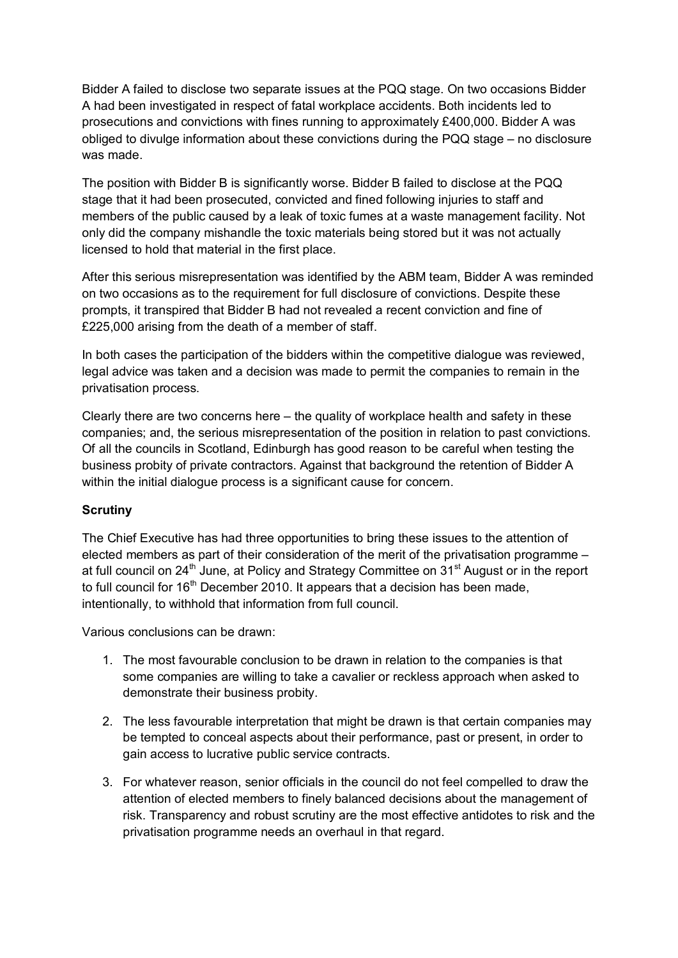Bidder A failed to disclose two separate issues at the PQQ stage. On two occasions Bidder A had been investigated in respect of fatal workplace accidents. Both incidents led to prosecutions and convictions with fines running to approximately £400,000. Bidder A was obliged to divulge information about these convictions during the PQQ stage – no disclosure was made.

The position with Bidder B is significantly worse. Bidder B failed to disclose at the PQQ stage that it had been prosecuted, convicted and fined following injuries to staff and members of the public caused by a leak of toxic fumes at a waste management facility. Not only did the company mishandle the toxic materials being stored but it was not actually licensed to hold that material in the first place.

After this serious misrepresentation was identified by the ABM team, Bidder A was reminded on two occasions as to the requirement for full disclosure of convictions. Despite these prompts, it transpired that Bidder B had not revealed a recent conviction and fine of £225,000 arising from the death of a member of staff.

In both cases the participation of the bidders within the competitive dialogue was reviewed, legal advice was taken and a decision was made to permit the companies to remain in the privatisation process.

Clearly there are two concerns here – the quality of workplace health and safety in these companies; and, the serious misrepresentation of the position in relation to past convictions. Of all the councils in Scotland, Edinburgh has good reason to be careful when testing the business probity of private contractors. Against that background the retention of Bidder A within the initial dialogue process is a significant cause for concern.

# **Scrutiny**

The Chief Executive has had three opportunities to bring these issues to the attention of elected members as part of their consideration of the merit of the privatisation programme – at full council on  $24<sup>th</sup>$  June, at Policy and Strategy Committee on  $31<sup>st</sup>$  August or in the report to full council for  $16<sup>th</sup>$  December 2010. It appears that a decision has been made, intentionally, to withhold that information from full council.

Various conclusions can be drawn:

- 1. The most favourable conclusion to be drawn in relation to the companies is that some companies are willing to take a cavalier or reckless approach when asked to demonstrate their business probity.
- 2. The less favourable interpretation that might be drawn is that certain companies may be tempted to conceal aspects about their performance, past or present, in order to gain access to lucrative public service contracts.
- 3. For whatever reason, senior officials in the council do not feel compelled to draw the attention of elected members to finely balanced decisions about the management of risk. Transparency and robust scrutiny are the most effective antidotes to risk and the privatisation programme needs an overhaul in that regard.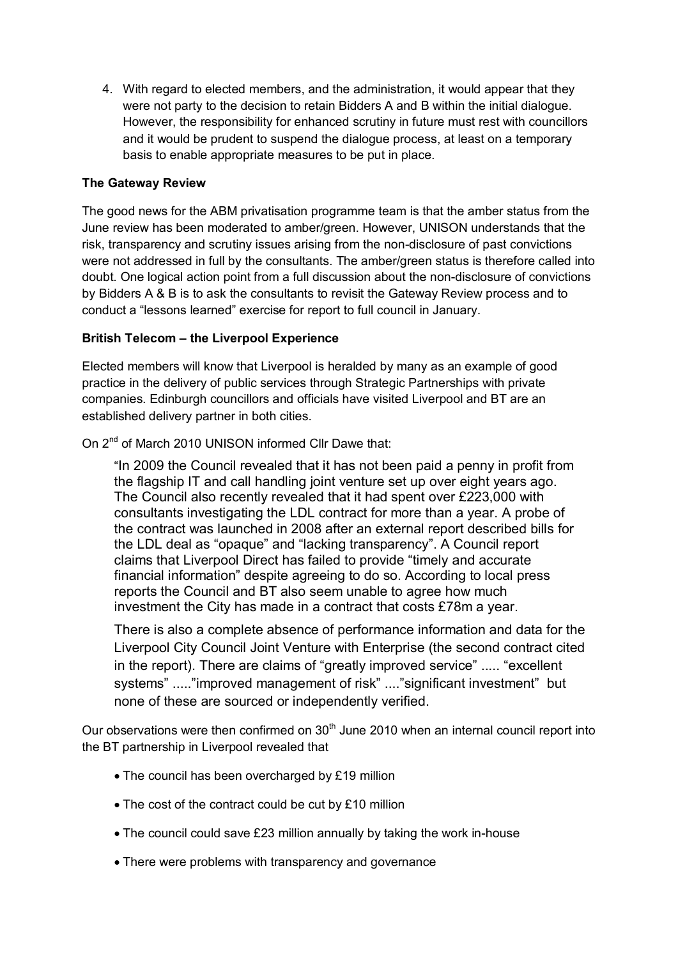4. With regard to elected members, and the administration, it would appear that they were not party to the decision to retain Bidders A and B within the initial dialogue. However, the responsibility for enhanced scrutiny in future must rest with councillors and it would be prudent to suspend the dialogue process, at least on a temporary basis to enable appropriate measures to be put in place.

## **The Gateway Review**

The good news for the ABM privatisation programme team is that the amber status from the June review has been moderated to amber/green. However, UNISON understands that the risk, transparency and scrutiny issues arising from the non-disclosure of past convictions were not addressed in full by the consultants. The amber/green status is therefore called into doubt. One logical action point from a full discussion about the non-disclosure of convictions by Bidders A & B is to ask the consultants to revisit the Gateway Review process and to conduct a "lessons learned" exercise for report to full council in January.

#### **British Telecom – the Liverpool Experience**

Elected members will know that Liverpool is heralded by many as an example of good practice in the delivery of public services through Strategic Partnerships with private companies. Edinburgh councillors and officials have visited Liverpool and BT are an established delivery partner in both cities.

On 2nd of March 2010 UNISON informed Cllr Dawe that:

"In 2009 the Council revealed that it has not been paid a penny in profit from the flagship IT and call handling joint venture set up over eight years ago. The Council also recently revealed that it had spent over £223,000 with consultants investigating the LDL contract for more than a year. A probe of the contract was launched in 2008 after an external report described bills for the LDL deal as "opaque" and "lacking transparency". A Council report claims that Liverpool Direct has failed to provide "timely and accurate financial information" despite agreeing to do so. According to local press reports the Council and BT also seem unable to agree how much investment the City has made in a contract that costs £78m a year.

There is also a complete absence of performance information and data for the Liverpool City Council Joint Venture with Enterprise (the second contract cited in the report). There are claims of "greatly improved service" ..... "excellent systems" ....."improved management of risk" ...."significant investment" but none of these are sourced or independently verified.

Our observations were then confirmed on  $30<sup>th</sup>$  June 2010 when an internal council report into the BT partnership in Liverpool revealed that

- The council has been overcharged by £19 million
- The cost of the contract could be cut by £10 million
- The council could save £23 million annually by taking the work in-house
- There were problems with transparency and governance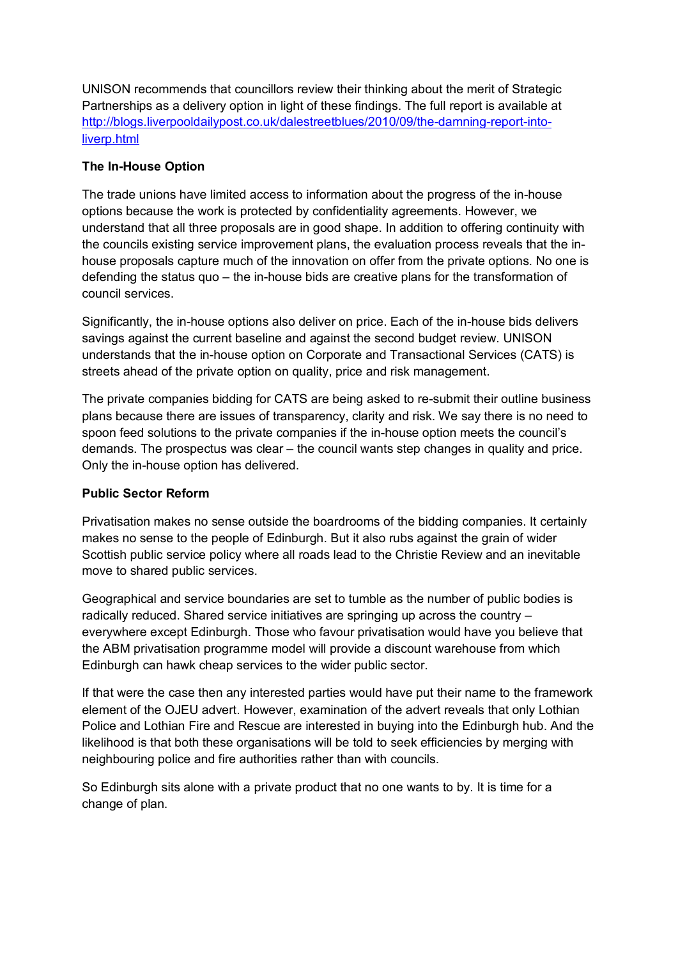UNISON recommends that councillors review their thinking about the merit of Strategic Partnerships as a delivery option in light of these findings. The full report is available at http://blogs.liverpooldailypost.co.uk/dalestreetblues/2010/09/the-damning-report-intoliverp.html

## **The In-House Option**

The trade unions have limited access to information about the progress of the in-house options because the work is protected by confidentiality agreements. However, we understand that all three proposals are in good shape. In addition to offering continuity with the councils existing service improvement plans, the evaluation process reveals that the inhouse proposals capture much of the innovation on offer from the private options. No one is defending the status quo – the in-house bids are creative plans for the transformation of council services.

Significantly, the in-house options also deliver on price. Each of the in-house bids delivers savings against the current baseline and against the second budget review. UNISON understands that the in-house option on Corporate and Transactional Services (CATS) is streets ahead of the private option on quality, price and risk management.

The private companies bidding for CATS are being asked to re-submit their outline business plans because there are issues of transparency, clarity and risk. We say there is no need to spoon feed solutions to the private companies if the in-house option meets the council's demands. The prospectus was clear – the council wants step changes in quality and price. Only the in-house option has delivered.

# **Public Sector Reform**

Privatisation makes no sense outside the boardrooms of the bidding companies. It certainly makes no sense to the people of Edinburgh. But it also rubs against the grain of wider Scottish public service policy where all roads lead to the Christie Review and an inevitable move to shared public services.

Geographical and service boundaries are set to tumble as the number of public bodies is radically reduced. Shared service initiatives are springing up across the country – everywhere except Edinburgh. Those who favour privatisation would have you believe that the ABM privatisation programme model will provide a discount warehouse from which Edinburgh can hawk cheap services to the wider public sector.

If that were the case then any interested parties would have put their name to the framework element of the OJEU advert. However, examination of the advert reveals that only Lothian Police and Lothian Fire and Rescue are interested in buying into the Edinburgh hub. And the likelihood is that both these organisations will be told to seek efficiencies by merging with neighbouring police and fire authorities rather than with councils.

So Edinburgh sits alone with a private product that no one wants to by. It is time for a change of plan.